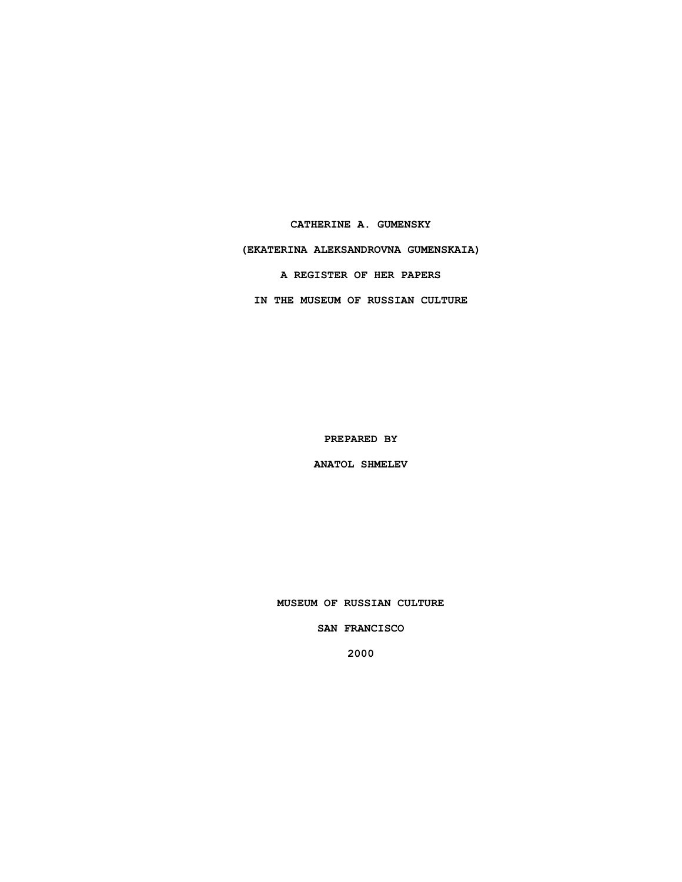**CATHERINE A. GUMENSKY (EKATERINA ALEKSANDROVNA GUMENSKAIA) A REGISTER OF HER PAPERS IN THE MUSEUM OF RUSSIAN CULTURE**

**PREPARED BY**

**ANATOL SHMELEV**

**MUSEUM OF RUSSIAN CULTURE**

**SAN FRANCISCO**

**2000**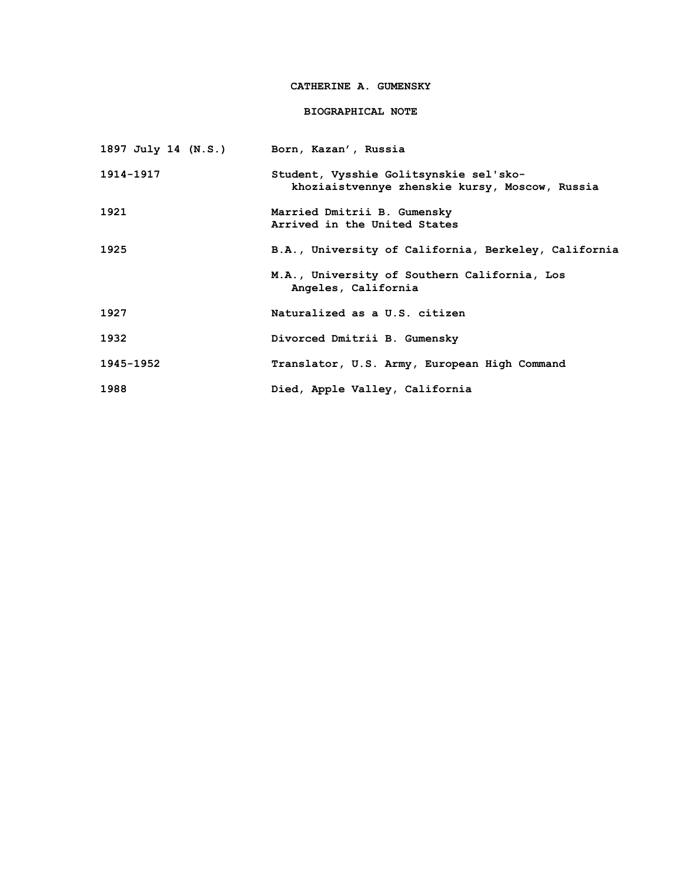# **CATHERINE A. GUMENSKY**

## **BIOGRAPHICAL NOTE**

| 1897 July 14 (N.S.) Born, Kazan', Russia |                                                                                          |
|------------------------------------------|------------------------------------------------------------------------------------------|
| 1914-1917                                | Student, Vysshie Golitsynskie sel'sko-<br>khoziaistvennye zhenskie kursy, Moscow, Russia |
| 1921                                     | Married Dmitrii B. Gumensky<br>Arrived in the United States                              |
| 1925                                     | B.A., University of California, Berkeley, California                                     |
|                                          | M.A., University of Southern California, Los<br>Angeles, California                      |
| 1927                                     | Naturalized as a U.S. citizen                                                            |
| 1932                                     | Divorced Dmitrii B. Gumensky                                                             |
| 1945-1952                                | Translator, U.S. Army, European High Command                                             |
| 1988                                     | Died, Apple Valley, California                                                           |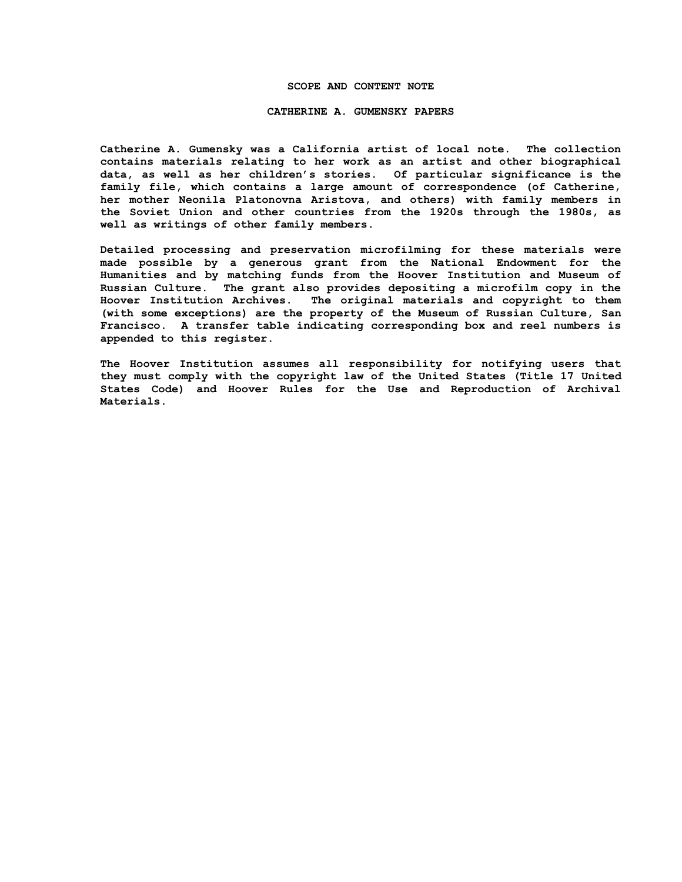### **SCOPE AND CONTENT NOTE**

#### **CATHERINE A. GUMENSKY PAPERS**

**Catherine A. Gumensky was a California artist of local note. The collection contains materials relating to her work as an artist and other biographical data, as well as her children's stories. Of particular significance is the family file, which contains a large amount of correspondence (of Catherine, her mother Neonila Platonovna Aristova, and others) with family members in the Soviet Union and other countries from the 1920s through the 1980s, as well as writings of other family members.**

**Detailed processing and preservation microfilming for these materials were made possible by a generous grant from the National Endowment for the Humanities and by matching funds from the Hoover Institution and Museum of Russian Culture. The grant also provides depositing a microfilm copy in the Hoover Institution Archives. The original materials and copyright to them (with some exceptions) are the property of the Museum of Russian Culture, San Francisco. A transfer table indicating corresponding box and reel numbers is appended to this register.**

**The Hoover Institution assumes all responsibility for notifying users that they must comply with the copyright law of the United States (Title 17 United States Code) and Hoover Rules for the Use and Reproduction of Archival Materials.**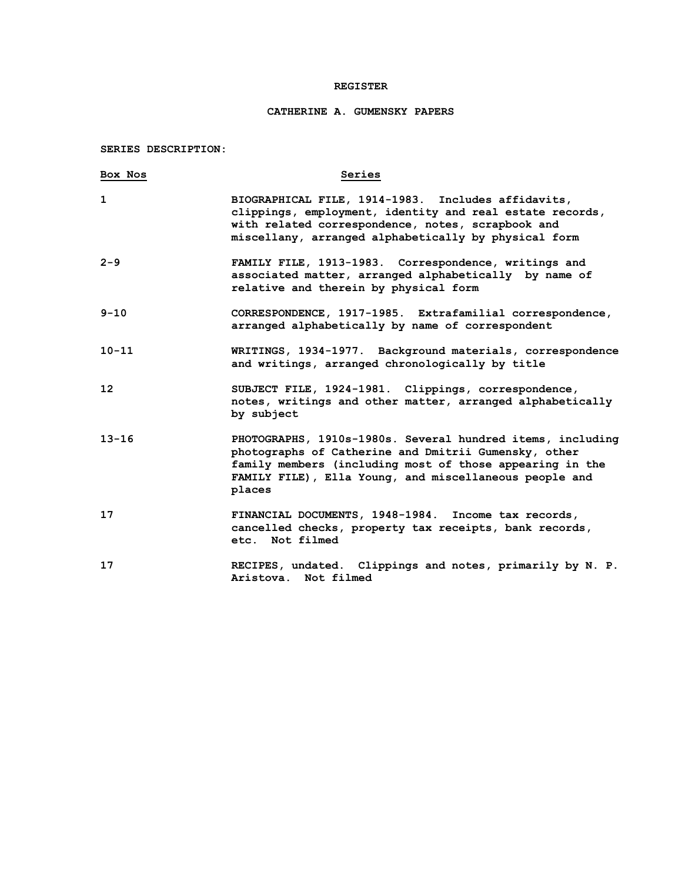### **REGISTER**

# **CATHERINE A. GUMENSKY PAPERS**

**SERIES DESCRIPTION:**

| Box Nos           | Series                                                                                                                                                                                                                                             |
|-------------------|----------------------------------------------------------------------------------------------------------------------------------------------------------------------------------------------------------------------------------------------------|
| $\mathbf{1}$      | BIOGRAPHICAL FILE, 1914-1983. Includes affidavits,<br>clippings, employment, identity and real estate records,<br>with related correspondence, notes, scrapbook and<br>miscellany, arranged alphabetically by physical form                        |
| $2 - 9$           | FAMILY FILE, 1913-1983. Correspondence, writings and<br>associated matter, arranged alphabetically by name of<br>relative and therein by physical form                                                                                             |
| $9 - 10$          | CORRESPONDENCE, 1917-1985. Extrafamilial correspondence,<br>arranged alphabetically by name of correspondent                                                                                                                                       |
| $10 - 11$         | WRITINGS, 1934-1977. Background materials, correspondence<br>and writings, arranged chronologically by title                                                                                                                                       |
| $12 \overline{ }$ | SUBJECT FILE, 1924-1981. Clippings, correspondence,<br>notes, writings and other matter, arranged alphabetically<br>by subject                                                                                                                     |
| $13 - 16$         | PHOTOGRAPHS, 1910s-1980s. Several hundred items, including<br>photographs of Catherine and Dmitrii Gumensky, other<br>family members (including most of those appearing in the<br>FAMILY FILE), Ella Young, and miscellaneous people and<br>places |
| 17                | FINANCIAL DOCUMENTS, 1948-1984. Income tax records,<br>cancelled checks, property tax receipts, bank records,<br>etc. Not filmed                                                                                                                   |
| 17                | RECIPES, undated. Clippings and notes, primarily by N. P.<br>Aristova. Not filmed                                                                                                                                                                  |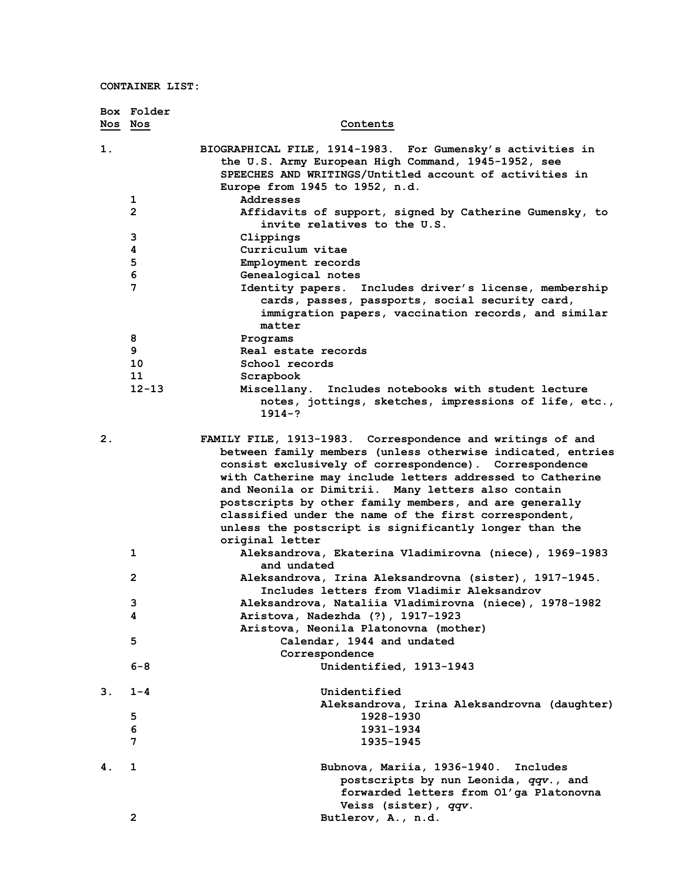|    | Box Folder     |                                                                                                                                                                                                                                                                                                                                                                                                                                                                                                        |
|----|----------------|--------------------------------------------------------------------------------------------------------------------------------------------------------------------------------------------------------------------------------------------------------------------------------------------------------------------------------------------------------------------------------------------------------------------------------------------------------------------------------------------------------|
|    | Nos Nos        | Contents                                                                                                                                                                                                                                                                                                                                                                                                                                                                                               |
| 1. |                | BIOGRAPHICAL FILE, 1914-1983. For Gumensky's activities in<br>the U.S. Army European High Command, 1945-1952, see<br>SPEECHES AND WRITINGS/Untitled account of activities in<br>Europe from 1945 to 1952, n.d.                                                                                                                                                                                                                                                                                         |
|    | 1              | Addresses                                                                                                                                                                                                                                                                                                                                                                                                                                                                                              |
|    | 2              | Affidavits of support, signed by Catherine Gumensky, to<br>invite relatives to the U.S.                                                                                                                                                                                                                                                                                                                                                                                                                |
|    | 3              | Clippings                                                                                                                                                                                                                                                                                                                                                                                                                                                                                              |
|    | 4              | Curriculum vitae                                                                                                                                                                                                                                                                                                                                                                                                                                                                                       |
|    | 5              | Employment records                                                                                                                                                                                                                                                                                                                                                                                                                                                                                     |
|    | 6              | Genealogical notes                                                                                                                                                                                                                                                                                                                                                                                                                                                                                     |
|    | 7              | Identity papers. Includes driver's license, membership<br>cards, passes, passports, social security card,<br>immigration papers, vaccination records, and similar<br>matter                                                                                                                                                                                                                                                                                                                            |
|    | 8              | Programs                                                                                                                                                                                                                                                                                                                                                                                                                                                                                               |
|    | 9              | Real estate records                                                                                                                                                                                                                                                                                                                                                                                                                                                                                    |
|    | 10             | School records                                                                                                                                                                                                                                                                                                                                                                                                                                                                                         |
|    | 11             | Scrapbook                                                                                                                                                                                                                                                                                                                                                                                                                                                                                              |
|    | $12 - 13$      | Miscellany. Includes notebooks with student lecture<br>notes, jottings, sketches, impressions of life, etc.,<br>$1914 - ?$                                                                                                                                                                                                                                                                                                                                                                             |
| 2. |                | FAMILY FILE, 1913-1983. Correspondence and writings of and<br>between family members (unless otherwise indicated, entries<br>consist exclusively of correspondence). Correspondence<br>with Catherine may include letters addressed to Catherine<br>and Neonila or Dimitrii. Many letters also contain<br>postscripts by other family members, and are generally<br>classified under the name of the first correspondent,<br>unless the postscript is significantly longer than the<br>original letter |
|    | 1              | Aleksandrova, Ekaterina Vladimirovna (niece), 1969-1983<br>and undated                                                                                                                                                                                                                                                                                                                                                                                                                                 |
|    | $\mathbf{2}$   | Aleksandrova, Irina Aleksandrovna (sister), 1917-1945.<br>Includes letters from Vladimir Aleksandrov                                                                                                                                                                                                                                                                                                                                                                                                   |
|    | 3              | Aleksandrova, Nataliia Vladimirovna (niece), 1978-1982                                                                                                                                                                                                                                                                                                                                                                                                                                                 |
|    | 4              | Aristova, Nadezhda (?), 1917-1923                                                                                                                                                                                                                                                                                                                                                                                                                                                                      |
|    |                | Aristova, Neonila Platonovna (mother)                                                                                                                                                                                                                                                                                                                                                                                                                                                                  |
|    | 5              | Calendar, 1944 and undated                                                                                                                                                                                                                                                                                                                                                                                                                                                                             |
|    |                | Correspondence                                                                                                                                                                                                                                                                                                                                                                                                                                                                                         |
|    | 6-8            | Unidentified, 1913-1943                                                                                                                                                                                                                                                                                                                                                                                                                                                                                |
| 3. | $1 - 4$        | Unidentified                                                                                                                                                                                                                                                                                                                                                                                                                                                                                           |
|    |                | Aleksandrova, Irina Aleksandrovna (daughter)                                                                                                                                                                                                                                                                                                                                                                                                                                                           |
|    | 5              | 1928-1930                                                                                                                                                                                                                                                                                                                                                                                                                                                                                              |
|    | 6              | 1931-1934                                                                                                                                                                                                                                                                                                                                                                                                                                                                                              |
|    | 7              | 1935-1945                                                                                                                                                                                                                                                                                                                                                                                                                                                                                              |
| 4. | 1              | Bubnova, Mariia, 1936-1940.<br>Includes<br>postscripts by nun Leonida, qqv., and<br>forwarded letters from Ol'ga Platonovna                                                                                                                                                                                                                                                                                                                                                                            |
|    |                | Veiss (sister), qqv.                                                                                                                                                                                                                                                                                                                                                                                                                                                                                   |
|    | $\overline{2}$ | Butlerov, A., n.d.                                                                                                                                                                                                                                                                                                                                                                                                                                                                                     |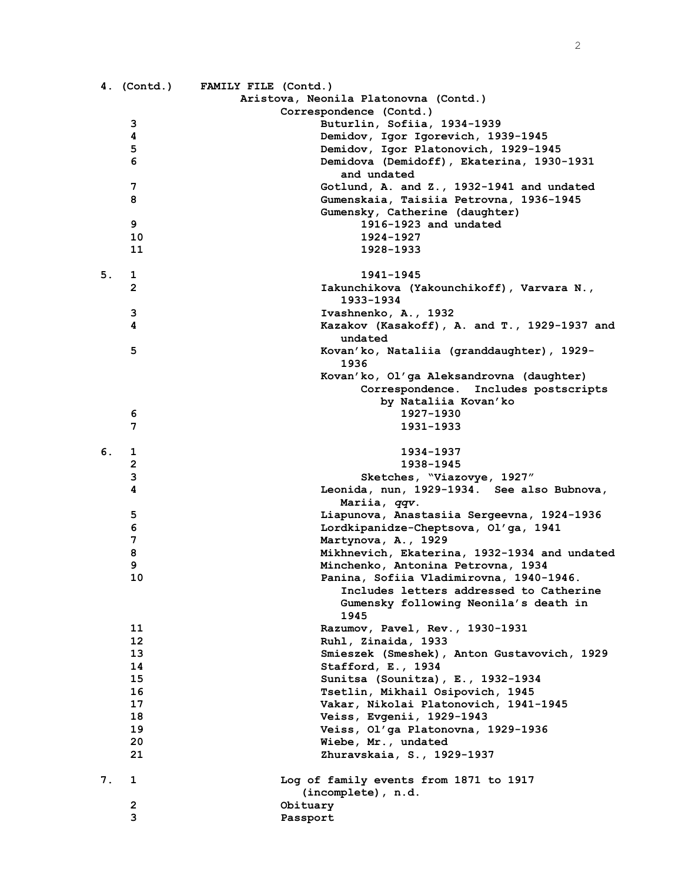|    |              | 4. (Contd.) FAMILY FILE (Contd.)             |
|----|--------------|----------------------------------------------|
|    |              | Aristova, Neonila Platonovna (Contd.)        |
|    |              | Correspondence (Contd.)                      |
|    | з            | Buturlin, Sofiia, 1934-1939                  |
|    | 4            | Demidov, Igor Igorevich, 1939-1945           |
|    | 5            | Demidov, Igor Platonovich, 1929-1945         |
|    | 6            | Demidova (Demidoff), Ekaterina, 1930-1931    |
|    |              | and undated                                  |
|    | 7            | Gotlund, A. and Z., 1932-1941 and undated    |
|    | 8            | Gumenskaia, Taisiia Petrovna, 1936-1945      |
|    |              |                                              |
|    |              | Gumensky, Catherine (daughter)               |
|    | 9            | 1916-1923 and undated                        |
|    | 10           | 1924-1927                                    |
|    | 11           | 1928-1933                                    |
|    |              |                                              |
| 5. | 1            | 1941-1945                                    |
|    | $\mathbf{2}$ | Iakunchikova (Yakounchikoff), Varvara N.,    |
|    |              | 1933-1934                                    |
|    | з            | Ivashnenko, A., 1932                         |
|    | 4            | Kazakov (Kasakoff), A. and T., 1929-1937 and |
|    |              | undated                                      |
|    | 5            | Kovan'ko, Nataliia (granddaughter), 1929-    |
|    |              | 1936                                         |
|    |              | Kovan'ko, Ol'ga Aleksandrovna (daughter)     |
|    |              | Correspondence. Includes postscripts         |
|    |              | by Nataliia Kovan'ko                         |
|    | 6            | 1927-1930                                    |
|    | 7            | 1931-1933                                    |
|    |              |                                              |
|    |              |                                              |
| 6. | 1            | 1934-1937                                    |
|    | 2            | 1938-1945                                    |
|    | 3            | Sketches, "Viazovye, 1927"                   |
|    | 4            | Leonida, nun, 1929-1934. See also Bubnova,   |
|    |              | Mariia, qqv.                                 |
|    | 5            | Liapunova, Anastasiia Sergeevna, 1924-1936   |
|    | 6            | Lordkipanidze-Cheptsova, Ol'ga, 1941         |
|    | 7            | Martynova, A., 1929                          |
|    | 8            | Mikhnevich, Ekaterina, 1932-1934 and undated |
|    | 9            | Minchenko, Antonina Petrovna, 1934           |
|    | 10           | Panina, Sofiia Vladimirovna, 1940-1946.      |
|    |              | Includes letters addressed to Catherine      |
|    |              | Gumensky following Neonila's death in        |
|    |              | 1945                                         |
|    | 11           | Razumov, Pavel, Rev., 1930-1931              |
|    | 12           | Ruhl, Zinaida, 1933                          |
|    | 13           | Smieszek (Smeshek), Anton Gustavovich, 1929  |
|    | 14           | Stafford, E., 1934                           |
|    | 15           | Sunitsa (Sounitza), E., 1932-1934            |
|    | 16           | Tsetlin, Mikhail Osipovich, 1945             |
|    | 17           | Vakar, Nikolai Platonovich, 1941-1945        |
|    | 18           |                                              |
|    |              | Veiss, Evgenii, 1929-1943                    |
|    | 19           | Veiss, Ol'ga Platonovna, 1929-1936           |
|    | 20           | Wiebe, Mr., undated                          |
|    | 21           | Zhuravskaia, S., 1929-1937                   |
|    |              |                                              |
| 7. | 1            | Log of family events from 1871 to 1917       |
|    |              | (incomplete), n.d.                           |
|    | 2            | Obituary                                     |
|    | 3            | Passport                                     |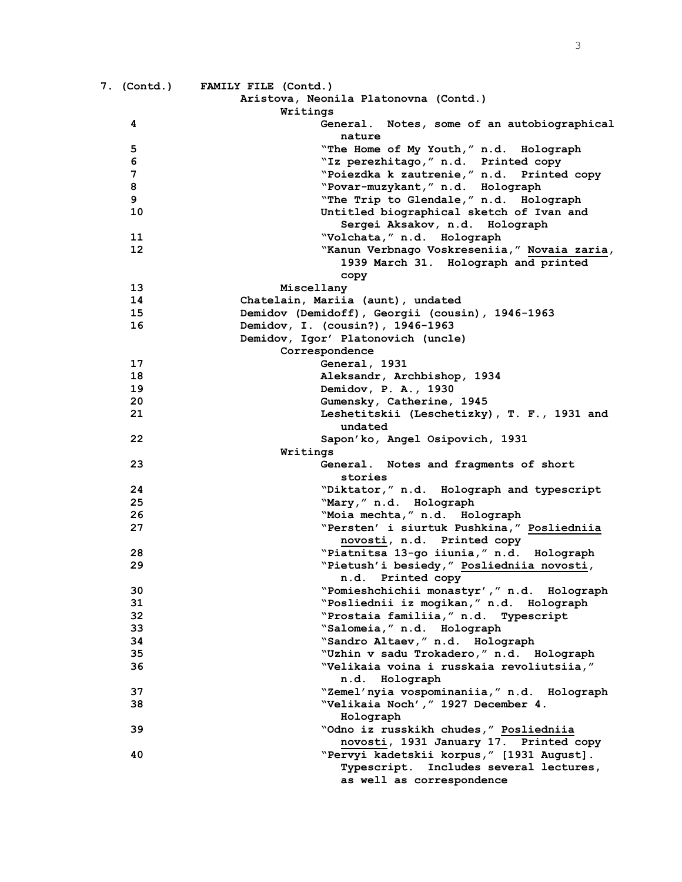|    | 7. (Contd.) FAMILY FILE (Contd.)                 |
|----|--------------------------------------------------|
|    | Aristova, Neonila Platonovna (Contd.)            |
|    | Writings                                         |
| 4  | General. Notes, some of an autobiographical      |
|    | nature                                           |
| 5  | "The Home of My Youth," n.d. Holograph           |
| 6  | "Iz perezhitago, " n.d. Printed copy             |
| 7  | "Poiezdka k zautrenie," n.d. Printed copy        |
| 8  | "Povar-muzykant," n.d. Holograph                 |
| 9  | "The Trip to Glendale," n.d. Holograph           |
| 10 | Untitled biographical sketch of Ivan and         |
|    | Sergei Aksakov, n.d. Holograph                   |
| 11 | "Volchata," n.d. Holograph                       |
| 12 | "Kanun Verbnago Voskreseniia," Novaia zaria,     |
|    | 1939 March 31. Holograph and printed             |
|    |                                                  |
| 13 | copy<br>Miscellany                               |
| 14 | Chatelain, Mariia (aunt), undated                |
| 15 | Demidov (Demidoff), Georgii (cousin), 1946-1963  |
| 16 | Demidov, I. (cousin?), 1946-1963                 |
|    | Demidov, Igor' Platonovich (uncle)               |
|    | Correspondence                                   |
| 17 | General, 1931                                    |
| 18 | Aleksandr, Archbishop, 1934                      |
| 19 | Demidov, P. A., 1930                             |
| 20 | Gumensky, Catherine, 1945                        |
| 21 | Leshetitskii (Leschetizky), T. F., 1931 and      |
|    | undated                                          |
| 22 | Sapon'ko, Angel Osipovich, 1931                  |
|    | Writings                                         |
| 23 | General. Notes and fragments of short            |
|    | stories                                          |
| 24 | "Diktator," n.d. Holograph and typescript        |
| 25 | "Mary," n.d. Holograph                           |
| 26 | "Moia mechta, " n.d. Holograph                   |
| 27 | "Persten' i siurtuk Pushkina," Posliedniia       |
|    | novosti, n.d. Printed copy                       |
| 28 | "Piatnitsa 13-go iiunia," n.d. Holograph         |
| 29 | "Pietush'i besiedy," Posliedniia novosti,        |
|    | n.d. Printed copy                                |
| 30 | "Pomieshchichii monastyr'," n.d. Holograph       |
| 31 | "Posliednii iz mogikan," n.d. Holograph          |
| 32 | "Prostaia familiia, " n.d. Typescript            |
| 33 | "Salomeia," n.d. Holograph                       |
| 34 | "Sandro Altaev," n.d. Holograph                  |
| 35 | "Uzhin v sadu Trokadero," n.d. Holograph         |
| 36 | "Velikaia voina i russkaia revoliutsiia,"        |
|    | n.d. Holograph                                   |
| 37 | "Zemel'nyia vospominaniia," n.d. Holograph       |
| 38 | "Velikaia Noch', " 1927 December 4.              |
|    | Holograph                                        |
| 39 | "Odno iz russkikh chudes," Posliedniia           |
|    | novosti, 1931 January 17. Printed copy           |
| 40 | "Pervyi kadetskii korpus," [1931 August].        |
|    | Includes several lectures,<br><b>Typescript.</b> |
|    | as well as correspondence                        |
|    |                                                  |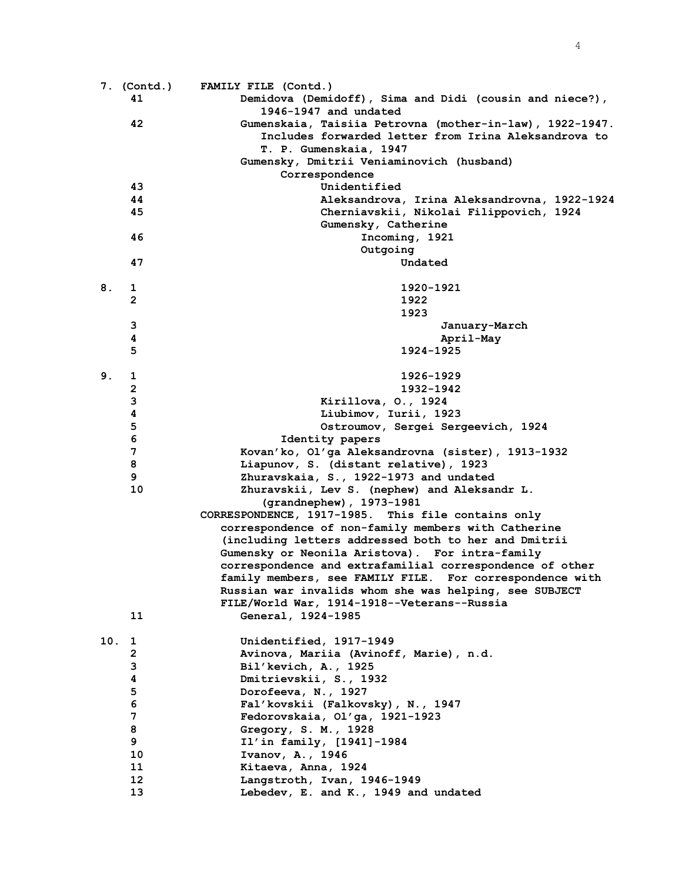|     | 7. (Contd.)    | FAMILY FILE (Contd.)                                     |
|-----|----------------|----------------------------------------------------------|
|     | 41             | Demidova (Demidoff), Sima and Didi (cousin and niece?),  |
|     |                | 1946-1947 and undated                                    |
|     | 42             | Gumenskaia, Taisiia Petrovna (mother-in-law), 1922-1947. |
|     |                | Includes forwarded letter from Irina Aleksandrova to     |
|     |                | T. P. Gumenskaia, 1947                                   |
|     |                | Gumensky, Dmitrii Veniaminovich (husband)                |
|     |                | Correspondence                                           |
|     | 43             | Unidentified                                             |
|     | 44             | Aleksandrova, Irina Aleksandrovna, 1922-1924             |
|     | 45             | Cherniavskii, Nikolai Filippovich, 1924                  |
|     |                | Gumensky, Catherine                                      |
|     | 46             | Incoming, 1921                                           |
|     |                | Outgoing                                                 |
|     | 47             | Undated                                                  |
|     |                |                                                          |
| 8.  | 1              | 1920-1921                                                |
|     | $\mathbf{2}$   | 1922                                                     |
|     |                | 1923                                                     |
|     | 3              | January-March                                            |
|     | 4              | April-May                                                |
|     | 5              | 1924-1925                                                |
|     |                |                                                          |
| 9.  |                | 1926-1929                                                |
|     | 1              |                                                          |
|     | $\overline{2}$ | 1932-1942                                                |
|     | 3              | Kirillova, O., 1924                                      |
|     | 4              | Liubimov, Iurii, 1923                                    |
|     | 5              | Ostroumov, Sergei Sergeevich, 1924                       |
|     | 6              | Identity papers                                          |
|     | 7              | Kovan'ko, Ol'ga Aleksandrovna (sister), 1913-1932        |
|     | 8              | Liapunov, S. (distant relative), 1923                    |
|     | 9              | Zhuravskaia, S., 1922-1973 and undated                   |
|     | 10             | Zhuravskii, Lev S. (nephew) and Aleksandr L.             |
|     |                | (grandnephew), 1973-1981                                 |
|     |                | CORRESPONDENCE, 1917-1985. This file contains only       |
|     |                | correspondence of non-family members with Catherine      |
|     |                | (including letters addressed both to her and Dmitrii     |
|     |                | Gumensky or Neonila Aristova). For intra-family          |
|     |                | correspondence and extrafamilial correspondence of other |
|     |                | family members, see FAMILY FILE. For correspondence with |
|     |                | Russian war invalids whom she was helping, see SUBJECT   |
|     |                | FILE/World War, 1914-1918--Veterans--Russia              |
|     | 11             | General, 1924-1985                                       |
| 10. | 1              | Unidentified, 1917-1949                                  |
|     | 2              | Avinova, Mariia (Avinoff, Marie), n.d.                   |
|     | 3              | Bil'kevich, A., 1925                                     |
|     | 4              | Dmitrievskii, S., 1932                                   |
|     | 5              | Dorofeeva, N., 1927                                      |
|     | 6              | Fal'kovskii (Falkovsky), N., 1947                        |
|     | 7              | Fedorovskaia, Ol'ga, 1921-1923                           |
|     | 8              | Gregory, S. M., 1928                                     |
|     | 9              | Il'in family, [1941]-1984                                |
|     | 10             | Ivanov, A., 1946                                         |
|     | 11             | Kitaeva, Anna, 1924                                      |
|     | 12             | Langstroth, Ivan, 1946-1949                              |
|     | 13             | Lebedev, E. and K., 1949 and undated                     |
|     |                |                                                          |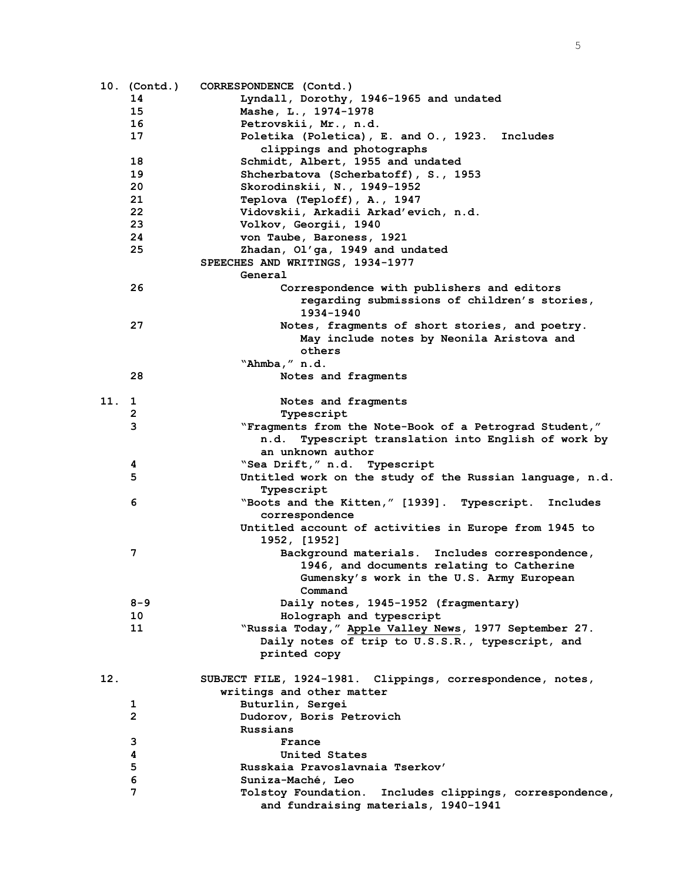|     | 10. (Contd.)            | CORRESPONDENCE (Contd.)                                                      |
|-----|-------------------------|------------------------------------------------------------------------------|
|     | 14                      | Lyndall, Dorothy, 1946-1965 and undated                                      |
|     | 15                      | Mashe, L., 1974-1978                                                         |
|     | 16                      | Petrovskii, Mr., n.d.                                                        |
|     | 17                      | Poletika (Poletica), E. and O., 1923. Includes                               |
|     |                         | clippings and photographs                                                    |
|     | 18                      | Schmidt, Albert, 1955 and undated                                            |
|     | 19                      | Shcherbatova (Scherbatoff), S., 1953                                         |
|     | 20                      | Skorodinskii, N., 1949-1952                                                  |
|     | 21                      | Teplova (Teploff), A., 1947                                                  |
|     | 22                      | Vidovskii, Arkadii Arkad'evich, n.d.                                         |
|     | 23                      | Volkov, Georgii, 1940                                                        |
|     | 24                      | von Taube, Baroness, 1921                                                    |
|     | 25                      | Zhadan, Ol'ga, 1949 and undated                                              |
|     |                         | SPEECHES AND WRITINGS, 1934-1977                                             |
|     |                         | General                                                                      |
|     | 26                      | Correspondence with publishers and editors                                   |
|     |                         | regarding submissions of children's stories,                                 |
|     |                         | 1934-1940                                                                    |
|     | 27                      | Notes, fragments of short stories, and poetry.                               |
|     |                         | May include notes by Neonila Aristova and                                    |
|     |                         | others                                                                       |
|     |                         | "Ahmba," n.d.                                                                |
|     | 28                      | Notes and fragments                                                          |
|     |                         |                                                                              |
| 11. | 1                       | Notes and fragments                                                          |
|     | $\overline{\mathbf{c}}$ | Typescript                                                                   |
|     | 3                       | "Fragments from the Note-Book of a Petrograd Student,"                       |
|     |                         | Typescript translation into English of work by<br>n.d.                       |
|     |                         | an unknown author                                                            |
|     | 4                       | "Sea Drift," n.d. Typescript                                                 |
|     | 5                       | Untitled work on the study of the Russian language, n.d.                     |
|     |                         | Typescript                                                                   |
|     | 6                       | "Boots and the Kitten," [1939]. Typescript.<br>Includes                      |
|     |                         | correspondence                                                               |
|     |                         | Untitled account of activities in Europe from 1945 to                        |
|     |                         | 1952, [1952]                                                                 |
|     | 7                       | Background materials. Includes correspondence,                               |
|     |                         | 1946, and documents relating to Catherine                                    |
|     |                         | Gumensky's work in the U.S. Army European                                    |
|     |                         | Command                                                                      |
|     | $8 - 9$                 | Daily notes, 1945-1952 (fragmentary)                                         |
|     | 10                      | Holograph and typescript                                                     |
|     | 11                      | "Russia Today," Apple Valley News, 1977 September 27.                        |
|     |                         | Daily notes of trip to U.S.S.R., typescript, and                             |
|     |                         | printed copy                                                                 |
| 12. |                         |                                                                              |
|     |                         | SUBJECT FILE, 1924-1981. Clippings, correspondence, notes,                   |
|     |                         | writings and other matter                                                    |
|     | 1<br>$\overline{2}$     | Buturlin, Sergei                                                             |
|     |                         | Dudorov, Boris Petrovich                                                     |
|     | 3                       | Russians                                                                     |
|     | 4                       | France                                                                       |
|     | 5                       | United States                                                                |
|     | 6                       | Russkaia Pravoslavnaia Tserkov'                                              |
|     | 7                       | Suniza-Maché, Leo<br>Tolstoy Foundation. Includes clippings, correspondence, |
|     |                         | and fundraising materials, 1940-1941                                         |
|     |                         |                                                                              |